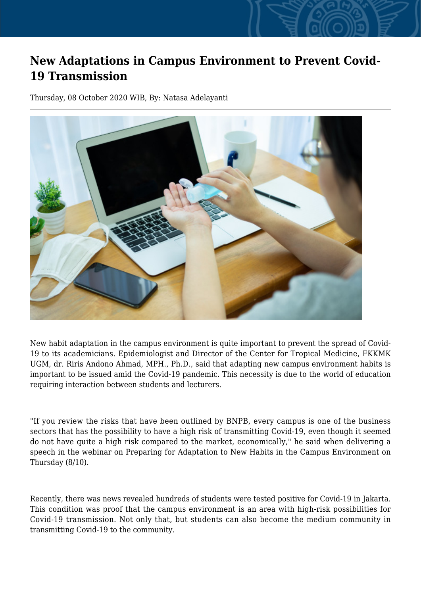## **New Adaptations in Campus Environment to Prevent Covid-19 Transmission**

Thursday, 08 October 2020 WIB, By: Natasa Adelayanti



New habit adaptation in the campus environment is quite important to prevent the spread of Covid-19 to its academicians. Epidemiologist and Director of the Center for Tropical Medicine, FKKMK UGM, dr. Riris Andono Ahmad, MPH., Ph.D., said that adapting new campus environment habits is important to be issued amid the Covid-19 pandemic. This necessity is due to the world of education requiring interaction between students and lecturers.

"If you review the risks that have been outlined by BNPB, every campus is one of the business sectors that has the possibility to have a high risk of transmitting Covid-19, even though it seemed do not have quite a high risk compared to the market, economically," he said when delivering a speech in the webinar on Preparing for Adaptation to New Habits in the Campus Environment on Thursday (8/10).

Recently, there was news revealed hundreds of students were tested positive for Covid-19 in Jakarta. This condition was proof that the campus environment is an area with high-risk possibilities for Covid-19 transmission. Not only that, but students can also become the medium community in transmitting Covid-19 to the community.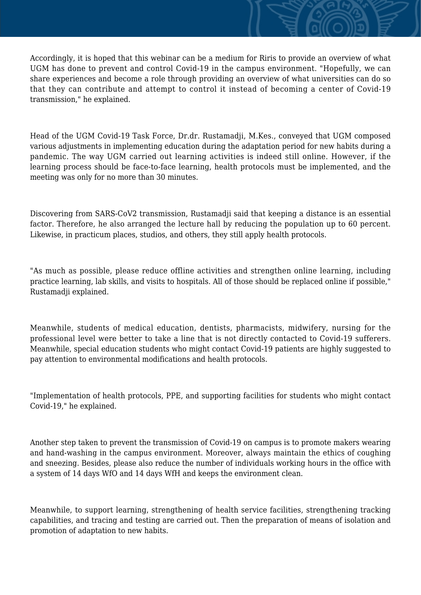Accordingly, it is hoped that this webinar can be a medium for Riris to provide an overview of what UGM has done to prevent and control Covid-19 in the campus environment. "Hopefully, we can share experiences and become a role through providing an overview of what universities can do so that they can contribute and attempt to control it instead of becoming a center of Covid-19 transmission," he explained.

Head of the UGM Covid-19 Task Force, Dr.dr. Rustamadji, M.Kes., conveyed that UGM composed various adjustments in implementing education during the adaptation period for new habits during a pandemic. The way UGM carried out learning activities is indeed still online. However, if the learning process should be face-to-face learning, health protocols must be implemented, and the meeting was only for no more than 30 minutes.

Discovering from SARS-CoV2 transmission, Rustamadji said that keeping a distance is an essential factor. Therefore, he also arranged the lecture hall by reducing the population up to 60 percent. Likewise, in practicum places, studios, and others, they still apply health protocols.

"As much as possible, please reduce offline activities and strengthen online learning, including practice learning, lab skills, and visits to hospitals. All of those should be replaced online if possible," Rustamadji explained.

Meanwhile, students of medical education, dentists, pharmacists, midwifery, nursing for the professional level were better to take a line that is not directly contacted to Covid-19 sufferers. Meanwhile, special education students who might contact Covid-19 patients are highly suggested to pay attention to environmental modifications and health protocols.

"Implementation of health protocols, PPE, and supporting facilities for students who might contact Covid-19," he explained.

Another step taken to prevent the transmission of Covid-19 on campus is to promote makers wearing and hand-washing in the campus environment. Moreover, always maintain the ethics of coughing and sneezing. Besides, please also reduce the number of individuals working hours in the office with a system of 14 days WfO and 14 days WfH and keeps the environment clean.

Meanwhile, to support learning, strengthening of health service facilities, strengthening tracking capabilities, and tracing and testing are carried out. Then the preparation of means of isolation and promotion of adaptation to new habits.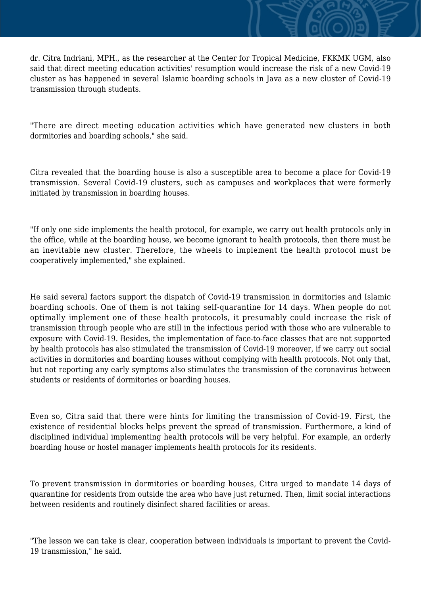dr. Citra Indriani, MPH., as the researcher at the Center for Tropical Medicine, FKKMK UGM, also said that direct meeting education activities' resumption would increase the risk of a new Covid-19 cluster as has happened in several Islamic boarding schools in Java as a new cluster of Covid-19 transmission through students.

"There are direct meeting education activities which have generated new clusters in both dormitories and boarding schools," she said.

Citra revealed that the boarding house is also a susceptible area to become a place for Covid-19 transmission. Several Covid-19 clusters, such as campuses and workplaces that were formerly initiated by transmission in boarding houses.

"If only one side implements the health protocol, for example, we carry out health protocols only in the office, while at the boarding house, we become ignorant to health protocols, then there must be an inevitable new cluster. Therefore, the wheels to implement the health protocol must be cooperatively implemented," she explained.

He said several factors support the dispatch of Covid-19 transmission in dormitories and Islamic boarding schools. One of them is not taking self-quarantine for 14 days. When people do not optimally implement one of these health protocols, it presumably could increase the risk of transmission through people who are still in the infectious period with those who are vulnerable to exposure with Covid-19. Besides, the implementation of face-to-face classes that are not supported by health protocols has also stimulated the transmission of Covid-19 moreover, if we carry out social activities in dormitories and boarding houses without complying with health protocols. Not only that, but not reporting any early symptoms also stimulates the transmission of the coronavirus between students or residents of dormitories or boarding houses.

Even so, Citra said that there were hints for limiting the transmission of Covid-19. First, the existence of residential blocks helps prevent the spread of transmission. Furthermore, a kind of disciplined individual implementing health protocols will be very helpful. For example, an orderly boarding house or hostel manager implements health protocols for its residents.

To prevent transmission in dormitories or boarding houses, Citra urged to mandate 14 days of quarantine for residents from outside the area who have just returned. Then, limit social interactions between residents and routinely disinfect shared facilities or areas.

"The lesson we can take is clear, cooperation between individuals is important to prevent the Covid-19 transmission," he said.